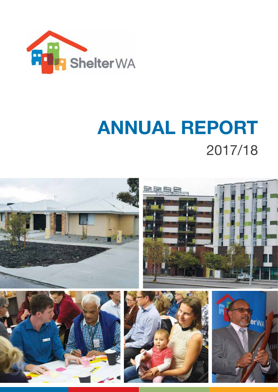

# **ANNUAL REPORT**  2017/18

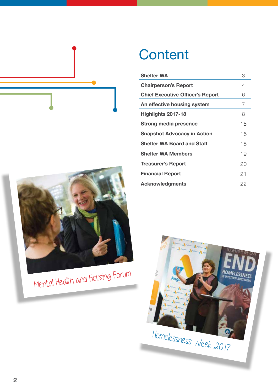

# Mental Health and Housing Forum

### **Content**

| <b>Shelter WA</b>                       | 3  |
|-----------------------------------------|----|
| <b>Chairperson's Report</b>             | 4  |
| <b>Chief Executive Officer's Report</b> | 6  |
| An effective housing system             | 7  |
| Highlights 2017-18                      | 8  |
| Strong media presence                   | 15 |
| <b>Snapshot Advocacy in Action</b>      | 16 |
| <b>Shelter WA Board and Staff</b>       | 18 |
| <b>Shelter WA Members</b>               | 19 |
| <b>Treasurer's Report</b>               | 20 |
| <b>Financial Report</b>                 | 21 |
| <b>Acknowledgments</b>                  | 22 |

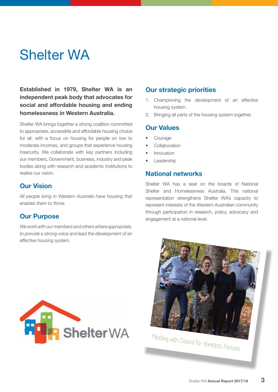### Shelter WA

**Established in 1979, Shelter WA is an independent peak body that advocates for social and affordable housing and ending homelessness in Western Australia.**

Shelter WA brings together a strong coalition committed to appropriate, accessible and affordable housing choice for all, with a focus on housing for people on low to moderate incomes, and groups that experience housing insecurity. We collaborate with key partners including our members, Government, business, industry and peak bodies along with research and academic institutions to realise our vision.

#### **Our Vision**

*All people living in Western Australia have housing that enables them to thrive.*

#### **Our Purpose**

*We work with our members and others where appropriate, to provide a strong voice and lead the development of an effective housing system.*



- 1. Championing the development of an effective housing system.
- 2. Bringing all parts of the housing system together.

#### **Our Values**

- **Courage**
- **Collaboration**
- Innovation
- **Leadership**

#### **National networks**

Shelter WA has a seat on the boards of National Shelter and Homelessness Australia. This national representation strengthens Shelter WA's capacity to represent interests of the Western Australian community through participation in research, policy, advocacy and engagement at a national level.



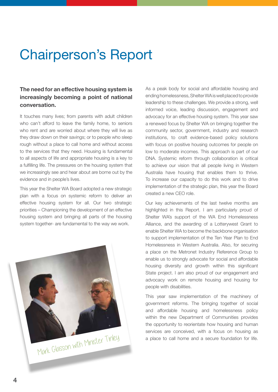### Chairperson's Report

#### **The need for an effective housing system is increasingly becoming a point of national conversation.**

It touches many lives; from parents with adult children who can't afford to leave the family home, to seniors who rent and are worried about where they will live as they draw down on their savings; or to people who sleep rough without a place to call home and without access to the services that they need. Housing is fundamental to all aspects of life and appropriate housing is a key to a fulfilling life. The pressures on the housing system that we increasingly see and hear about are borne out by the evidence and in people's lives.

This year the Shelter WA Board adopted a new strategic plan with a focus on systemic reform to deliver an effective housing system for all. Our two strategic priorities – Championing the development of an effective housing system and bringing all parts of the housing system together- are fundamental to the way we work.

Mark Glasson with Minister Tinley

As a peak body for social and affordable housing and ending homelessness, Shelter WA is well placed to provide leadership to these challenges. We provide a strong, well informed voice, leading discussion, engagement and advocacy for an effective housing system. This year saw a renewed focus by Shelter WA on bringing together the community sector, government, industry and research institutions, to craft evidence-based policy solutions with focus on positive housing outcomes for people on low to moderate incomes. This approach is part of our DNA. Systemic reform through collaboration is critical to achieve our vision that all people living in Western Australia have housing that enables them to thrive. To increase our capacity to do this work and to drive implementation of the strategic plan, this year the Board created a new CEO role.

Our key achievements of the last twelve months are highlighted in this Report. I am particularly proud of Shelter WA's support of the WA End Homelessness Alliance, and the awarding of a Lotterywest Grant to enable Shelter WA to become the backbone organisation to support implementation of the Ten Year Plan to End Homelessness in Western Australia. Also, for securing a place on the Metronet Industry Reference Group to enable us to strongly advocate for social and affordable housing diversity and growth within this significant State project. I am also proud of our engagement and advocacy work on remote housing and housing for people with disabilities.

This year saw implementation of the machinery of government reforms. The bringing together of social and affordable housing and homelessness policy within the new Department of Communities provides the opportunity to reorientate how housing and human services are conceived, with a focus on housing as a place to call home and a secure foundation for life.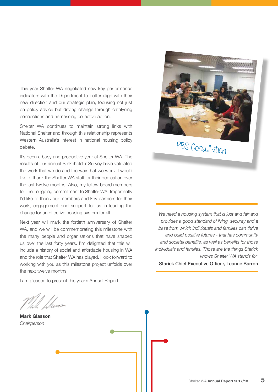This year Shelter WA negotiated new key performance indicators with the Department to better align with their new direction and our strategic plan, focusing not just on policy advice but driving change through catalysing connections and harnessing collective action.

Shelter WA continues to maintain strong links with National Shelter and through this relationship represents Western Australia's interest in national housing policy debate.

It's been a busy and productive year at Shelter WA. The results of our annual Stakeholder Survey have validated the work that we do and the way that we work. I would like to thank the Shelter WA staff for their dedication over the last twelve months. Also, my fellow board members for their ongoing commitment to Shelter WA. Importantly I'd like to thank our members and key partners for their work, engagement and support for us in leading the change for an effective housing system for all.

Next year will mark the fortieth anniversary of Shelter WA, and we will be commemorating this milestone with the many people and organisations that have shaped us over the last forty years. I'm delighted that this will include a history of social and affordable housing in WA and the role that Shelter WA has played. I look forward to working with you as this milestone project unfolds over the next twelve months.

I am pleased to present this year's Annual Report.

/wn>

**Mark Glasson** *Chairperson*



### PBS Consultation

*We need a housing system that is just and fair and provides a good standard of living, security and a base from which individuals and families can thrive and build positive futures - that has community and societal benefits, as well as benefits for those individuals and families. Those are the things Starick knows Shelter WA stands for.*  Starick Chief Executive Officer, Leanne Barron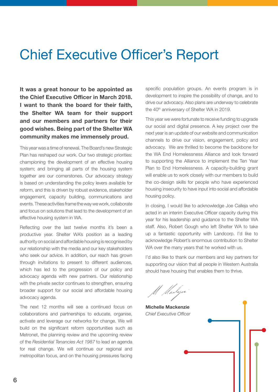### Chief Executive Officer's Report

**It was a great honour to be appointed as the Chief Executive Officer in March 2018. I want to thank the board for their faith, the Shelter WA team for their support and our members and partners for their good wishes. Being part of the Shelter WA community makes me immensely proud.**

This year was a time of renewal. The Board's new Strategic Plan has reshaped our work. Our two strategic priorities: championing the development of an effective housing system; and bringing all parts of the housing system together are our cornerstones. Our advocacy strategy is based on understanding the policy levers available for reform, and this is driven by robust evidence, stakeholder engagement, capacity building, communications and events. These activities frame the way we work, collaborate and focus on solutions that lead to the development of an effective housing system in WA.

Reflecting over the last twelve months it's been a productive year. Shelter WA's position as a leading authority on social and affordable housing is recognised by our relationship with the media and our key stakeholders who seek our advice. In addition, our reach has grown through invitations to present to different audiences, which has led to the progression of our policy and advocacy agenda with new partners. Our relationship with the private sector continues to strengthen, ensuring broader support for our social and affordable housing advocacy agenda.

The next 12 months will see a continued focus on collaborations and partnerships to educate, organise, activate and leverage our networks for change. We will build on the significant reform opportunities such as Metronet, the planning review and the upcoming review of the *Residential Tenancies Act 1987* to lead an agenda for real change. We will continue our regional and metropolitan focus, and on the housing pressures facing specific population groups. An events program is in development to inspire the possibility of change, and to drive our advocacy. Also plans are underway to celebrate the 40<sup>th</sup> anniversary of Shelter WA in 2019.

This year we were fortunate to receive funding to upgrade our social and digital presence. A key project over the next year is an update of our website and communication channels to drive our vision, engagement, policy and advocacy. We are thrilled to become the backbone for the WA End Homelessness Alliance and look forward to supporting the Alliance to implement the Ten Year Plan to End Homelessness. A capacity-building grant will enable us to work closely with our members to build the co-design skills for people who have experienced housing insecurity to have input into social and affordable housing policy.

In closing, I would like to acknowledge Joe Calleja who acted in an interim Executive Officer capacity during this year for his leadership and guidance to the Shelter WA staff. Also, Robert Gough who left Shelter WA to take up a fantastic opportunity with Landcorp. I'd like to acknowledge Robert's enormous contribution to Shelter WA over the many years that he worked with us.

I'd also like to thank our members and key partners for supporting our vision that all people in Western Australia should have housing that enables them to thrive.

M Madejer

**Michelle Mackenzie** *Chief Executive Officer*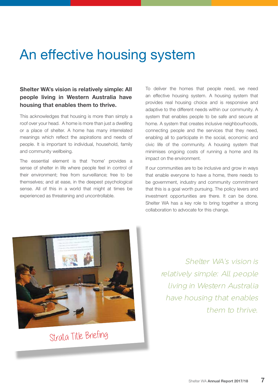### An effective housing system

#### **Shelter WA's vision is relatively simple: All people living in Western Australia have housing that enables them to thrive.**

This acknowledges that housing is more than simply a roof over your head. A home is more than just a dwelling or a place of shelter. A home has many interrelated meanings which reflect the aspirations and needs of people. It is important to individual, household, family and community wellbeing.

The essential element is that 'home' provides a sense of shelter in life where people feel in control of their environment; free from surveillance; free to be themselves; and at ease, in the deepest psychological sense. All of this in a world that might at times be experienced as threatening and uncontrollable.

To deliver the homes that people need, we need an effective housing system. A housing system that provides real housing choice and is responsive and adaptive to the different needs within our community. A system that enables people to be safe and secure at home. A system that creates inclusive neighbourhoods, connecting people and the services that they need, enabling all to participate in the social, economic and civic life of the community. A housing system that minimises ongoing costs of running a home and its impact on the environment.

If our communities are to be inclusive and grow in ways that enable everyone to have a home, there needs to be government, industry and community commitment that this is a goal worth pursuing. The policy levers and investment opportunities are there. It can be done. Shelter WA has a key role to bring together a strong collaboration to advocate for this change.



Strata Title Briefing

Shelter WA's vision is relatively simple: All people living in Western Australia have housing that enables them to thrive.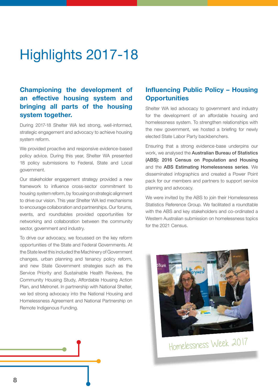### Highlights 2017-18

#### **Championing the development of an effective housing system and bringing all parts of the housing system together.**

During 2017-18 Shelter WA led strong, well-informed, strategic engagement and advocacy to achieve housing system reform.

We provided proactive and responsive evidence-based policy advice. During this year, Shelter WA presented 18 policy submissions to Federal, State and Local government.

Our stakeholder engagement strategy provided a new framework to influence cross-sector commitment to housing system reform, by focusing on strategic alignment to drive our vision. This year Shelter WA led mechanisms to encourage collaboration and partnerships. Our forums, events, and roundtables provided opportunities for networking and collaboration between the community sector, government and industry.

To drive our advocacy, we focussed on the key reform opportunities of the State and Federal Governments. At the State level this included the Machinery of Government changes, urban planning and tenancy policy reform, and new State Government strategies such as the Service Priority and Sustainable Health Reviews, the Community Housing Study, Affordable Housing Action Plan, and Metronet. In partnership with National Shelter, we led strong advocacy into the National Housing and Homelessness Agreement and National Partnership on Remote Indigenous Funding.

#### **Influencing Public Policy – Housing Opportunities**

Shelter WA led advocacy to government and industry for the development of an affordable housing and homelessness system. To strengthen relationships with the new government, we hosted a briefing for newly elected State Labor Party backbenchers.

Ensuring that a strong evidence-base underpins our work, we analysed the Australian Bureau of Statistics (ABS): 2016 Census on Population and Housing and the ABS Estimating Homelessness series. We disseminated infographics and created a Power Point pack for our members and partners to support service planning and advocacy.

We were invited by the ABS to join their Homelessness Statistics Reference Group. We facilitated a roundtable with the ABS and key stakeholders and co-ordinated a Western Australian submission on homelessness topics for the 2021 Census.



Homelessness Week 2017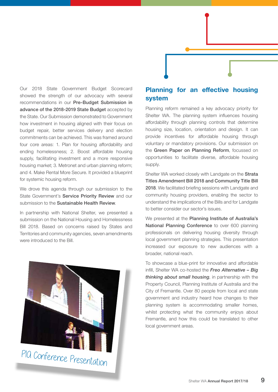

Our 2018 State Government Budget Scorecard showed the strength of our advocacy with several recommendations in our Pre-Budget Submission in advance of the 2018-2019 State Budget accepted by the State. Our Submission demonstrated to Government how investment in housing aligned with their focus on budget repair, better services delivery and election commitments can be achieved. This was framed around four core areas: 1. Plan for housing affordability and ending homelessness; 2. Boost affordable housing supply, facilitating investment and a more responsive housing market; 3. Metronet and urban planning reform; and 4. Make Rental More Secure. It provided a blueprint for systemic housing reform.

We drove this agenda through our submission to the State Government's Service Priority Review and our submission to the **Sustainable Health Review.** 

In partnership with National Shelter, we presented a submission on the National Housing and Homelessness Bill 2018. Based on concerns raised by States and Territories and community agencies, seven amendments were introduced to the Bill.



PIA Conference Presentation

#### **Planning for an effective housing system**

Planning reform remained a key advocacy priority for Shelter WA. The planning system influences housing affordability through planning controls that determine housing size, location, orientation and design. It can provide incentives for affordable housing through voluntary or mandatory provisions. Our submission on the Green Paper on Planning Reform, focussed on opportunities to facilitate diverse, affordable housing supply.

Shelter WA worked closely with Landgate on the Strata Titles Amendment Bill 2018 and Community Title Bill 2018. We facilitated briefing sessions with Landgate and community housing providers, enabling the sector to understand the implications of the Bills and for Landgate to better consider our sector's issues.

We presented at the Planning Institute of Australia's National Planning Conference to over 600 planning professionals on delivering housing diversity through local government planning strategies. This presentation increased our exposure to new audiences with a broader, national reach.

To showcase a blue-print for innovative and affordable infill, Shelter WA co-hosted the *Freo Alternative – Big thinking about small housing*, in partnership with the Property Council, Planning Institute of Australia and the City of Fremantle. Over 80 people from local and state government and industry heard how changes to their planning system is accommodating smaller homes, whilst protecting what the community enjoys about Fremantle, and how this could be translated to other local government areas.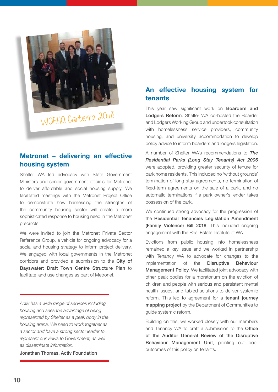

WAEHA Canberra 2018

#### **Metronet – delivering an effective housing system**

Shelter WA led advocacy with State Government Ministers and senior government officials for Metronet to deliver affordable and social housing supply. We facilitated meetings with the Metronet Project Office to demonstrate how harnessing the strengths of the community housing sector will create a more sophisticated response to housing need in the Metronet precincts.

We were invited to join the Metronet Private Sector Reference Group, a vehicle for ongoing advocacy for a social and housing strategy to inform project delivery. We engaged with local governments in the Metronet corridors and provided a submission to the City of Bayswater: Draft Town Centre Structure Plan to facilitate land use changes as part of Metronet.

*Activ has a wide range of services including housing and sees the advantage of being represented by Shelter as a peak body in the housing arena. We need to work together as a sector and have a strong sector leader to represent our views to Government, as well as disseminate information.* 

Jonathan Thomas, Activ Foundation

#### **An effective housing system for tenants**

This year saw significant work on **Boarders and** Lodgers Reform. Shelter WA co-hosted the Boarder and Lodgers Working Group and undertook consultation with homelessness service providers, community housing, and university accommodation to develop policy advice to inform boarders and lodgers legislation.

A number of Shelter WA's recommendations to *The Residential Parks (Long Stay Tenants) Act 2006* were adopted, providing greater security of tenure for park home residents. This included no 'without grounds' termination of long-stay agreements, no termination of fixed-term agreements on the sale of a park, and no automatic terminations if a park owner's lender takes possession of the park.

We continued strong advocacy for the progression of the Residential Tenancies Legislation Amendment (Family Violence) Bill 2018. This included ongoing engagement with the Real Estate Institute of WA.

Evictions from public housing into homelessness remained a key issue and we worked in partnership with Tenancy WA to advocate for changes to the implementation of the Disruptive Behaviour Management Policy. We facilitated joint advocacy with other peak bodies for a moratorium on the eviction of children and people with serious and persistent mental health issues, and tabled solutions to deliver systemic reform. This led to agreement for a **tenant journey** mapping project by the Department of Communities to guide systemic reform.

Building on this, we worked closely with our members and Tenancy WA to craft a submission to the Office of the Auditor General Review of the Disruptive Behaviour Management Unit, pointing out poor outcomes of this policy on tenants.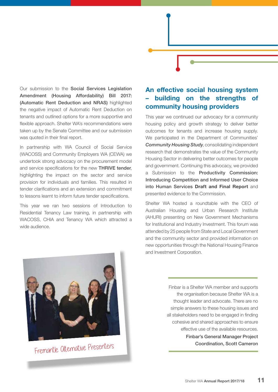Our submission to the Social Services Legislation Amendment (Housing Affordability) Bill 2017: (Automatic Rent Deduction and NRAS) highlighted the negative impact of Automatic Rent Deduction on tenants and outlined options for a more supportive and flexible approach. Shelter WA's recommendations were taken up by the Senate Committee and our submission was quoted in their final report.

In partnership with WA Council of Social Service (WACOSS) and Community Employers WA (CEWA) we undertook strong advocacy on the procurement model and service specifications for the new THRIVE tender, highlighting the impact on the sector and service provision for individuals and families. This resulted in tender clarifications and an extension and commitment to lessons learnt to inform future tender specifications.

This year we ran two sessions of Introduction to Residential Tenancy Law training, in partnership with WACOSS, CHIA and Tenancy WA which attracted a wide audience.

#### **An effective social housing system – building on the strengths of community housing providers**

This year we continued our advocacy for a community housing policy and growth strategy to deliver better outcomes for tenants and increase housing supply. We participated in the Department of Communities' *Community Housing Study*, consolidating independent research that demonstrates the value of the Community Housing Sector in delivering better outcomes for people and government. Continuing this advocacy, we provided a Submission to the Productivity Commission: Introducing Competition and Informed User Choice into Human Services **Draft and Final Report** and presented evidence to the Commission.

Shelter WA hosted a roundtable with the CEO of Australian Housing and Urban Research Institute (AHURI) presenting on New Government Mechanisms for Institutional and Industry Investment. This forum was attended by 25 people from State and Local Government and the community sector and provided information on new opportunities through the National Housing Finance and Investment Corporation.



Fremantle Alternative Presenters

Finbar is a Shelter WA member and supports the organisation because Shelter WA is a thought leader and advocate. There are no simple answers to these housing issues and all stakeholders need to be engaged in finding cohesive and shared approaches to ensure effective use of the available resources.

> Finbar's General Manager Project Coordination, Scott Cameron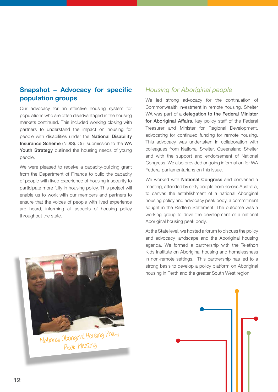#### **Snapshot – Advocacy for specific population groups**

Our advocacy for an effective housing system for populations who are often disadvantaged in the housing markets continued. This included working closing with partners to understand the impact on housing for people with disabilities under the National Disability Insurance Scheme (NDIS). Our submission to the WA Youth Strategy outlined the housing needs of young people.

We were pleased to receive a capacity-building grant from the Department of Finance to build the capacity of people with lived experience of housing insecurity to participate more fully in housing policy. This project will enable us to work with our members and partners to ensure that the voices of people with lived experience are heard, informing all aspects of housing policy throughout the state.



National Aboriginal Housing Policy Peak Meeting

#### *Housing for Aboriginal people*

We led strong advocacy for the continuation of Commonwealth investment in remote housing. Shelter WA was part of a delegation to the Federal Minister for Aboriginal Affairs, key policy staff of the Federal Treasurer and Minister for Regional Development, advocating for continued funding for remote housing. This advocacy was undertaken in collaboration with colleagues from National Shelter, Queensland Shelter and with the support and endorsement of National Congress. We also provided ongoing information for WA Federal parliamentarians on this issue.

We worked with **National Congress** and convened a meeting, attended by sixty people from across Australia, to canvas the establishment of a national Aboriginal housing policy and advocacy peak body, a commitment sought in the Redfern Statement. The outcome was a working group to drive the development of a national Aboriginal housing peak body.

At the State level, we hosted a forum to discuss the policy and advocacy landscape and the Aboriginal housing agenda. We formed a partnership with the Telethon Kids Institute on Aboriginal housing and homelessness in non-remote settings. This partnership has led to a strong basis to develop a policy platform on Aboriginal housing in Perth and the greater South West region.

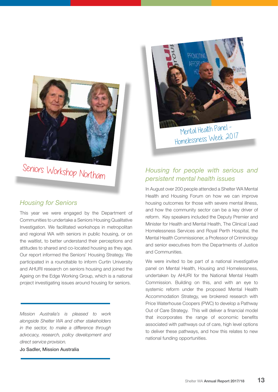

Seniors Workshop Northam

#### *Housing for Seniors*

This year we were engaged by the Department of Communities to undertake a Seniors Housing Qualitative Investigation. We facilitated workshops in metropolitan and regional WA with seniors in public housing, or on the waitlist, to better understand their perceptions and attitudes to shared and co-located housing as they age. Our report informed the Seniors' Housing Strategy. We participated in a roundtable to inform Curtin University and AHURI research on seniors housing and joined the Ageing on the Edge Working Group, which is a national project investigating issues around housing for seniors.

*Mission Australia's is pleased to work alongside Shelter WA and other stakeholders in the sector, to make a difference through advocacy, research, policy development and direct service provision.* 

Jo Sadler, Mission Australia



Mental Health Panel -Homelessness Week 2017

#### *Housing for people with serious and persistent mental health issues*

In August over 200 people attended a Shelter WA Mental Health and Housing Forum on how we can improve housing outcomes for those with severe mental illness, and how the community sector can be a key driver of reform. Key speakers included the Deputy Premier and Minister for Health and Mental Health, The Clinical Lead Homelessness Services and Royal Perth Hospital, the Mental Health Commissioner, a Professor of Criminology and senior executives from the Departments of Justice and Communities.

We were invited to be part of a national investigative panel on Mental Health, Housing and Homelessness, undertaken by AHURI for the National Mental Health Commission. Building on this, and with an eye to systemic reform under the proposed Mental Health Accommodation Strategy, we brokered research with Price Waterhouse Coopers (PWC) to develop a Pathway Out of Care Strategy. This will deliver a financial model that incorporates the range of economic benefits associated with pathways out of care, high level options to deliver these pathways, and how this relates to new national funding opportunities.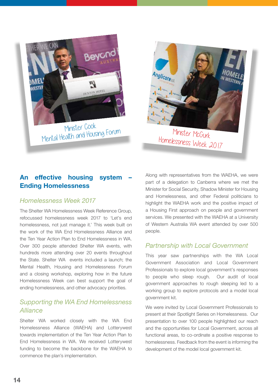



## Homelessness Week 2017

#### An effective housing system **Ending Homelessness**

#### *Homelessness Week 2017*

The Shelter WA Homelessness Week Reference Group, refocussed homelessness week 2017 to 'Let's end homelessness, not just manage it.' This week built on the work of the WA End Homelessness Alliance and the Ten Year Action Plan to End Homelessness in WA. Over 300 people attended Shelter WA events, with hundreds more attending over 20 events throughout the State. Shelter WA events included a launch; the Mental Health, Housing and Homelessness Forum and a closing workshop, exploring how in the future Homelessness Week can best support the goal of ending homelessness, and other advocacy priorities.

#### *Supporting the WA End Homelessness Alliance*

Shelter WA worked closely with the WA End Homelessness Alliance (WAEHA) and Lotterywest towards implementation of the Ten Year Action Plan to End Homelessness in WA. We received Lotterywest funding to become the backbone for the WAEHA to commence the plan's implementation.

Along with representatives from the WAEHA, we were part of a delegation to Canberra where we met the Minister for Social Security, Shadow Minister for Housing and Homelessness, and other Federal politicians to highlight the WAEHA work and the positive impact of a Housing First approach on people and government services. We presented with the WAEHA at a University of Western Australia WA event attended by over 500 people.

#### *Partnership with Local Government*

This year saw partnerships with the WA Local Government Association and Local Government Professionals to explore local government's responses to people who sleep rough. Our audit of local government approaches to rough sleeping led to a working group to explore protocols and a model local government kit.

We were invited by Local Government Professionals to present at their Spotlight Series on Homelessness. Our presentation to over 100 people highlighted our reach and the opportunities for Local Government, across all functional areas, to co-ordinate a positive response to homelessness. Feedback from the event is informing the development of the model local government kit.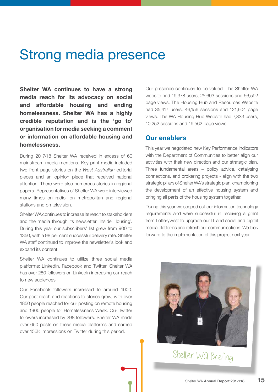### Strong media presence

**Shelter WA continues to have a strong media reach for its advocacy on social and affordable housing and ending homelessness. Shelter WA has a highly credible reputation and is the 'go to' organisation for media seeking a comment or information on affordable housing and homelessness.**

During 2017/18 Shelter WA received in excess of 60 mainstream media mentions. Key print media included two front page stories on the *West Australian* editorial pieces and an opinion piece that received national attention. There were also numerous stories in regional papers. Representatives of Shelter WA were interviewed many times on radio, on metropolitan and regional stations and on television.

Shelter WA continues to increase its reach to stakeholders and the media through its newsletter 'Inside Housing'. During this year our subscribers' list grew from 900 to 1350, with a 98 per cent successful delivery rate. Shelter WA staff continued to improve the newsletter's look and expand its content.

Shelter WA continues to utilize three social media platforms: LinkedIn, Facebook and Twitter. Shelter WA has over 280 followers on LinkedIn increasing our reach to new audiences.

Our Facebook followers increased to around 1000. Our post reach and reactions to stories grew, with over 1850 people reached for our posting on remote housing and 1900 people for Homelessness Week. Our Twitter followers increased by 298 followers. Shelter WA made over 650 posts on these media platforms and earned over 156K impressions on Twitter during this period.

Our presence continues to be valued. The Shelter WA website had 19,378 users, 25,693 sessions and 56,592 page views. The Housing Hub and Resources Website had 35,417 users, 46,156 sessions and 121,604 page views. The WA Housing Hub Website had 7,333 users, 10,252 sessions and 19,562 page views.

#### **Our enablers**

This year we negotiated new Key Performance Indicators with the Department of Communities to better align our activities with their new direction and our strategic plan. Three fundamental areas – policy advice, catalysing connections, and brokering projects - align with the two strategic pillars of Shelter WA's strategic plan, championing the development of an effective housing system and bringing all parts of the housing system together.

During this year we scoped out our information technology requirements and were successful in receiving a grant from Lotterywest to upgrade our IT and social and digital media platforms and refresh our communications. We look forward to the implementation of this project next year.



Shelter Wa Briefing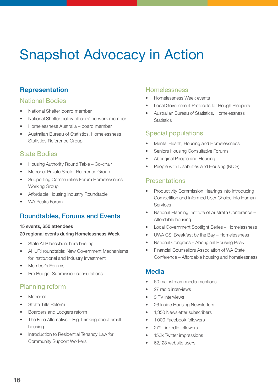### Snapshot Advocacy in Action

#### **Representation**

#### National Bodies

- National Shelter board member
- National Shelter policy officers' network member
- Homelessness Australia board member
- Australian Bureau of Statistics, Homelessness Statistics Reference Group

#### State Bodies

- Housing Authority Round Table Co-chair
- Metronet Private Sector Reference Group
- Supporting Communities Forum Homelessness Working Group
- Affordable Housing Industry Roundtable
- WA Peaks Forum

#### Roundtables, Forums and Events

#### 15 events, 650 attendees

#### 20 regional events during Homelessness Week

- State ALP backbenchers briefing
- AHURI roundtable: New Government Mechanisms for Institutional and Industry Investment
- Member's Forums
- Pre Budget Submission consultations

#### Planning reform

- **Metronet**
- Strata Title Reform
- Boarders and Lodgers reform
- The Freo Alternative Big Thinking about small housing
- Introduction to Residential Tenancy Law for Community Support Workers

#### **Homelessness**

- Homelessness Week events
- Local Government Protocols for Rough Sleepers
- Australian Bureau of Statistics, Homelessness **Statistics**

#### Special populations

- Mental Health, Housing and Homelessness
- Seniors Housing Consultative Forums
- Aboriginal People and Housing
- People with Disabilities and Housing (NDIS)

#### Presentations

- Productivity Commission Hearings into Introducing Competition and Informed User Choice into Human Services
- National Planning Institute of Australia Conference Affordable housing
- Local Government Spotlight Series Homelessness
- UWA CSI Breakfast by the Bay Homelessness
- National Congress Aboriginal Housing Peak
- Financial Counsellors Association of WA State Conference – Affordable housing and homelessness

#### Media

- 60 mainstream media mentions
- 27 radio interviews
- 3 TV interviews
- 26 Inside Housing Newsletters
- 1,350 Newsletter subscribers
- 1,000 Facebook followers
- 279 LinkedIn followers
- 156k Twitter impressions
- 62.128 website users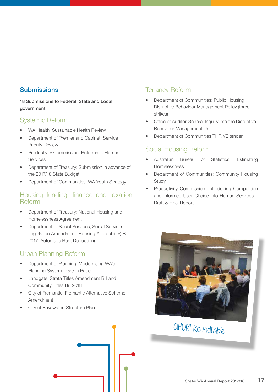#### Submissions

#### 18 Submissions to Federal, State and Local government

#### Systemic Reform

- WA Health: Sustainable Health Review
- Department of Premier and Cabinet: Service Priority Review
- Productivity Commission: Reforms to Human Services
- Department of Treasury: Submission in advance of the 2017/18 State Budget
- Department of Communities: WA Youth Strategy

#### Housing funding, finance and taxation Reform

- Department of Treasury: National Housing and Homelessness Agreement
- Department of Social Services; Social Services Legislation Amendment (Housing Affordability) Bill 2017 (Automatic Rent Deduction)

#### Urban Planning Reform

- Department of Planning: Modernising WA's Planning System - Green Paper
- Landgate: Strata Titles Amendment Bill and Community Titles Bill 2018
- City of Fremantle: Fremantle Alternative Scheme Amendment
- City of Bayswater: Structure Plan

#### Tenancy Reform

- Department of Communities: Public Housing Disruptive Behaviour Management Policy (three strikes)
- Office of Auditor General Inquiry into the Disruptive Behaviour Management Unit
- Department of Communities THRIVE tender

#### Social Housing Reform

- Australian Bureau of Statistics: Estimating Homelessness
- Department of Communities: Community Housing **Study**
- Productivity Commission: Introducing Competition and Informed User Choice into Human Services – Draft & Final Report



### AHURI Roundtable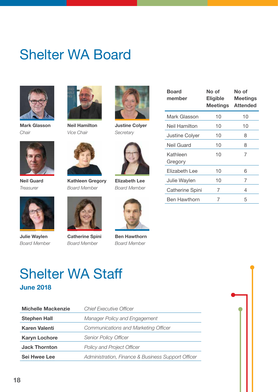### Shelter WA Board



**Mark Glasson** *Chair*



**Neil Guard** *Treasurer*



**Neil Hamilton** *Vice Chair*



**Kathleen Gregory** *Board Member*



**Justine Colyer** *Secretary*



**Elizabeth Lee** *Board Member*



**Ben Hawthorn** *Board Member*

| <b>Board</b><br>member | No of<br>Eligible<br>Meetings | No of<br><b>Meetings</b><br><b>Attended</b> |
|------------------------|-------------------------------|---------------------------------------------|
| Mark Glasson           | 10                            | 10                                          |
| Neil Hamilton          | 10                            | 10                                          |
| <b>Justine Colyer</b>  | 10                            | 8                                           |
| Neil Guard             | 10                            | 8                                           |
| Kathleen<br>Gregory    | 10                            | 7                                           |
| Elizabeth Lee          | 10                            | 6                                           |
| Julie Waylen           | 10                            | 7                                           |
| Catherine Spini        | 7                             | 4                                           |
| <b>Ben Hawthorn</b>    | 7                             | 5                                           |



**Julie Waylen** *Board Member*



**Catherine Spini** *Board Member*



| <b>Shelter WA Staff</b> |  |
|-------------------------|--|
| <b>June 2018</b>        |  |

| <b>Michelle Mackenzie</b> | <b>Chief Executive Officer</b>                     |
|---------------------------|----------------------------------------------------|
| <b>Stephen Hall</b>       | <b>Manager Policy and Engagement</b>               |
| <b>Karen Valenti</b>      | <b>Communications and Marketing Officer</b>        |
| <b>Karyn Lochore</b>      | <b>Senior Policy Officer</b>                       |
| <b>Jack Thornton</b>      | <b>Policy and Project Officer</b>                  |
| <b>Sei Hwee Lee</b>       | Administration, Finance & Business Support Officer |

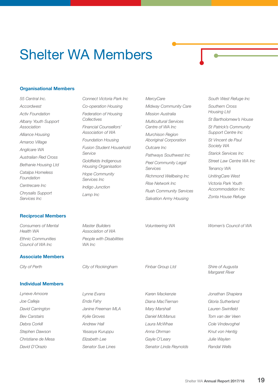### Shelter WA Members

#### **Organisational Members**

*55 Central Inc. Accordwest Activ Foundation Albany Youth Support Association Alliance Housing Amaroo Village Anglicare WA Australian Red Cross Bethanie Housing Ltd Catalpa Homeless Foundation Centrecare Inc Chrysalis Support Services Inc*

#### **Reciprocal Members**

*Consumers of Mental Health WA Ethnic Communities Council of WA Inc*

#### **Associate Members**

#### **Individual Members**

*Lyneve Amoore Joe Calleja David Carrington Bev Carstairs Debra Corkill Stephen Dawson Christiane de Mesa David D'Orazio*

*Fusion Student Household Service Goldfields Indigenous Housing Organisation Hope Community Services Inc Indigo Junction Lamp Inc Master Builders* 

*Association of WA People with Disabilities* 

*WA Inc*

*Lynne Evans Enda Fahy*

*Kylie Groves Andrew Hall Yasasya Kuruppu Elizabeth Lee Senator Sue Lines*

*Janine Freeman MLA*

*Connect Victoria Park Inc Co-operation Housing Federation of Housing* 

*Financial Counsellors' Association of WA Foundation Housing* 

*Collectives*

*MercyCare Midway Community Care Mission Australia Multicultural Services Centre of WA Inc Murchison Region Aboriginal Corporation Outcare Inc Pathways Southwest Inc Peel Community Legal Services Richmond Wellbeing Inc Rise Network Inc*

*Ruah Community Services Salvation Army Housing*

*South West Refuge Inc Southern Cross Housing Ltd St Bartholomew's House St Patrick's Community Support Centre Inc St Vincent de Paul Society WA Starick Services Inc Street Law Centre WA Inc Tenancy WA UnitingCare West Victoria Park Youth Accommodation Inc Zonta House Refuge*

*City of Perth City of Rockingham Finbar Group Ltd Shire of Augusta Karen Mackenzie* 

*Volunteering WA Women's Council of WA*

*Diana MacTiernan Mary Marshall Daniel McManus Laura McWhae Anna Ohrman Gayle O'Leary Senator Linda Reynolds* *Margaret River*

*Jonathan Shapiera Gloria Sutherland Lauren Swinfield Tom van der Veen Cole Vindevoghel Knut von Hentig Julie Waylen Randal Wells*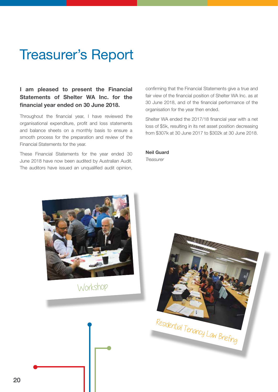### Treasurer's Report

#### **I am pleased to present the Financial Statements of Shelter WA Inc. for the financial year ended on 30 June 2018.**

Throughout the financial year, I have reviewed the organisational expenditure, profit and loss statements and balance sheets on a monthly basis to ensure a smooth process for the preparation and review of the Financial Statements for the year.

These Financial Statements for the year ended 30 June 2018 have now been audited by Australian Audit. The auditors have issued an unqualified audit opinion, confirming that the Financial Statements give a true and fair view of the financial position of Shelter WA Inc. as at 30 June 2018, and of the financial performance of the organisation for the year then ended.

Shelter WA ended the 2017/18 financial year with a net loss of \$5k, resulting in its net asset position decreasing from \$307k at 30 June 2017 to \$302k at 30 June 2018.

#### **Neil Guard**

*Treasurer*



Workshop

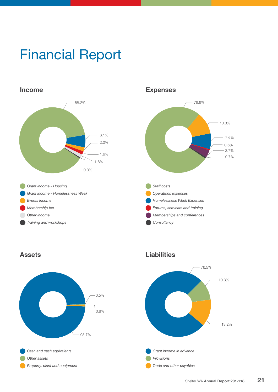### Financial Report



#### **Expenses**





#### **Assets Liabilities**

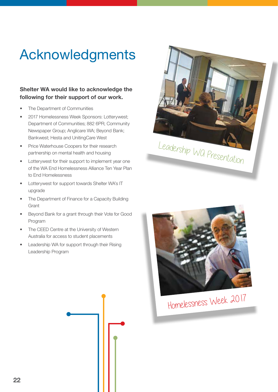### Acknowledgments

#### **Shelter WA would like to acknowledge the following for their support of our work.**

- The Department of Communities
- 2017 Homelessness Week Sponsors: Lotterywest; Department of Communities; 882 6PR; Community Newspaper Group; Anglicare WA; Beyond Bank; Bankwest; Hesta and UnitingCare West
- Price Waterhouse Coopers for their research partnership on mental health and housing
- Lotterywest for their support to implement year one of the WA End Homelessness Alliance Ten Year Plan to End Homelessness
- Lotterywest for support towards Shelter WA's IT upgrade
- The Department of Finance for a Capacity Building **Grant**
- Beyond Bank for a grant through their Vote for Good Program
- The CEED Centre at the University of Western Australia for access to student placements
- Leadership WA for support through their Rising Leadership Program





Homelessness Week 2017